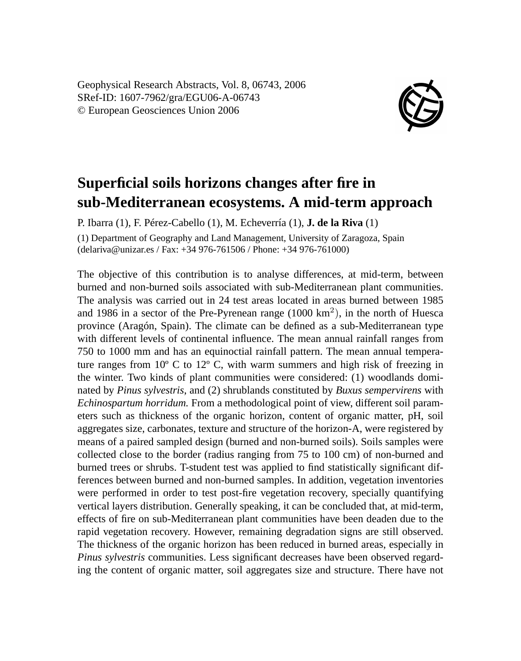Geophysical Research Abstracts, Vol. 8, 06743, 2006 SRef-ID: 1607-7962/gra/EGU06-A-06743 © European Geosciences Union 2006



## **Superficial soils horizons changes after fire in sub-Mediterranean ecosystems. A mid-term approach**

P. Ibarra (1), F. Pérez-Cabello (1), M. Echeverría (1), **J. de la Riva** (1)

(1) Department of Geography and Land Management, University of Zaragoza, Spain (delariva@unizar.es / Fax: +34 976-761506 / Phone: +34 976-761000)

The objective of this contribution is to analyse differences, at mid-term, between burned and non-burned soils associated with sub-Mediterranean plant communities. The analysis was carried out in 24 test areas located in areas burned between 1985 and 1986 in a sector of the Pre-Pyrenean range  $(1000 \text{ km}^2)$ , in the north of Huesca province (Aragón, Spain). The climate can be defined as a sub-Mediterranean type with different levels of continental influence. The mean annual rainfall ranges from 750 to 1000 mm and has an equinoctial rainfall pattern. The mean annual temperature ranges from  $10^{\circ}$  C to  $12^{\circ}$  C, with warm summers and high risk of freezing in the winter. Two kinds of plant communities were considered: (1) woodlands dominated by *Pinus sylvestris*, and (2) shrublands constituted by *Buxus sempervirens* with *Echinospartum horridum.* From a methodological point of view, different soil parameters such as thickness of the organic horizon, content of organic matter, pH, soil aggregates size, carbonates, texture and structure of the horizon-A, were registered by means of a paired sampled design (burned and non-burned soils). Soils samples were collected close to the border (radius ranging from 75 to 100 cm) of non-burned and burned trees or shrubs. T-student test was applied to find statistically significant differences between burned and non-burned samples. In addition, vegetation inventories were performed in order to test post-fire vegetation recovery, specially quantifying vertical layers distribution. Generally speaking, it can be concluded that, at mid-term, effects of fire on sub-Mediterranean plant communities have been deaden due to the rapid vegetation recovery. However, remaining degradation signs are still observed. The thickness of the organic horizon has been reduced in burned areas, especially in *Pinus sylvestris* communities. Less significant decreases have been observed regarding the content of organic matter, soil aggregates size and structure. There have not